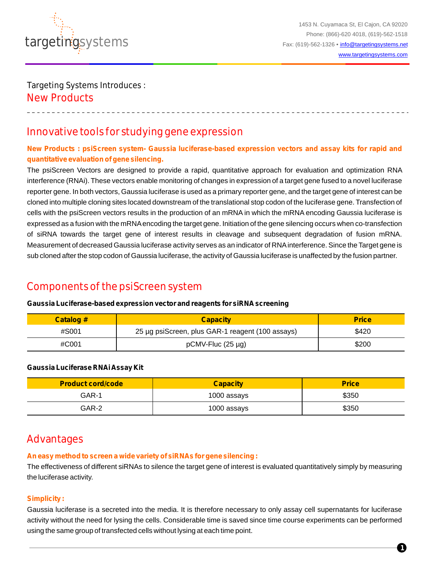

Targeting Systems Introduces : New Products

# Innovative tools for studying gene expression

**New Products : psiScreen system- Gaussia luciferase-based expression vectors and assay kits for rapid and quantitative evaluation of gene silencing.**

The psiScreen Vectors are designed to provide a rapid, quantitative approach for evaluation and optimization RNA interference (RNAi). These vectors enable monitoring of changes in expression of a target gene fused to a novel luciferase reporter gene. In both vectors, Gaussia luciferase is used as a primary reporter gene, and the target gene of interest can be cloned into multiple cloning sites located downstream of the translational stop codon of the luciferase gene. Transfection of cells with the psiScreen vectors results in the production of an mRNA in which the mRNA encoding Gaussia luciferase is expressed as a fusion with the mRNAencoding the target gene. Initiation of the gene silencing occurs when co-transfection of siRNA towards the target gene of interest results in cleavage and subsequent degradation of fusion mRNA. Measurement of decreased Gaussia luciferase activity serves as an indicator of RNAinterference. Since the Target gene is sub cloned after the stop codon of Gaussia luciferase, the activity of Gaussia luciferase is unaffected by the fusion partner.

## Components of the psiScreen system

### **Gaussia Luciferase-based expression vector and reagents for siRNAscreening**

| Catalog # | <b>Capacity</b>                                  | <b>Price</b> |
|-----------|--------------------------------------------------|--------------|
| #S001     | 25 µg psiScreen, plus GAR-1 reagent (100 assays) | \$420        |
| #C001     | $pCMV$ -Fluc (25 µg)                             | \$200        |

#### **Gaussia Luciferase RNAi Assay Kit**

| <b>Product cord/code</b> | <b>Capacity</b> | <b>Price</b> |
|--------------------------|-----------------|--------------|
| GAR-1                    | 1000 assays     | \$350        |
| GAR-2                    | 1000 assays     | \$350        |

### Advantages

### **An easy method to screen a wide variety of siRNAs for gene silencing :**

The effectiveness of different siRNAs to silence the target gene of interest is evaluated quantitatively simply by measuring the luciferase activity.

### **Simplicity :**

Gaussia luciferase is a secreted into the media. It is therefore necessary to only assay cell supernatants for luciferase activity without the need for lysing the cells. Considerable time is saved since time course experiments can be performed using the same group of transfected cells without lysing at each time point.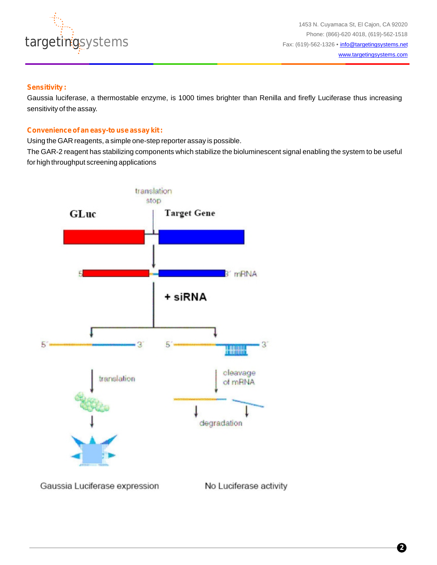

### **Sensitivity :**

Gaussia luciferase, a thermostable enzyme, is 1000 times brighter than Renilla and firefly Luciferase thus increasing sensitivity of the assay.

#### **Convenience of an easy-to use assay kit :**

Using the GAR reagents, a simple one-step reporter assay is possible.

The GAR-2 reagent has stabilizing components which stabilize the bioluminescent signal enabling the system to be useful for high throughput screening applications

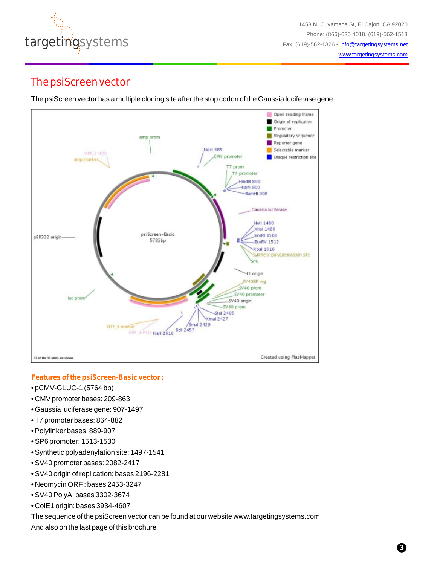

## The psiScreen vector

The psiScreen vector has a multiple cloning site after the stop codon of the Gaussia luciferase gene



### **Features of the psiScreen-Basic vector :**

- pCMV-GLUC-1 (5764 bp)
- CMV promoter bases: 209-863 •
- Gaussia luciferase gene: 907-1497 •
- T7 promoter bases: 864-882 •
- Polylinker bases: 889-907 •
- SP6 promoter: 1513-1530 •
- Synthetic polyadenylation site: 1497-1541 •
- SV40 promoter bases: 2082-2417 •
- SV40 origin of replication: bases 2196-2281 •
- Neomycin ORF : bases 2453-3247 •
- SV40 PolyA: bases 3302-3674 •
- ColE1 origin: bases 3934-4607 •

The sequence of the psiScreen vector can be found at our website www.targetingsystems.com

And also on the last page of this brochure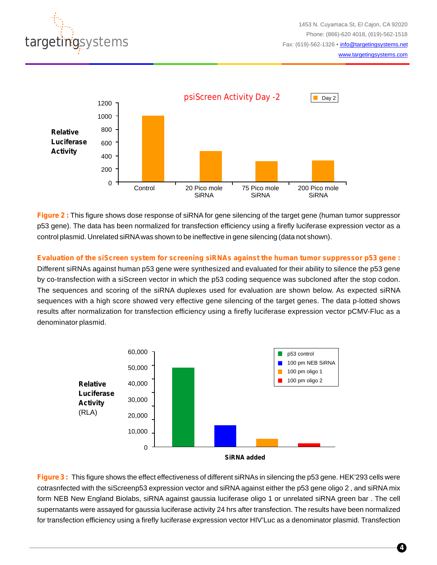



**Figure 2 :** This figure shows dose response of siRNA for gene silencing of the target gene (human tumor suppressor p53 gene). The data has been normalized for transfection efficiency using a firefly luciferase expression vector as a control plasmid. Unrelated siRNAwas shown to be ineffective in gene silencing (data not shown).

**Evaluation of the siScreen system for screening siRNAs against the human tumor suppressor p53 gene :** Different siRNAs against human p53 gene were synthesized and evaluated for their ability to silence the p53 gene by co-transfection with a siScreen vector in which the p53 coding sequence was subcloned after the stop codon. The sequences and scoring of the siRNA duplexes used for evaluation are shown below. As expected siRNA sequences with a high score showed very effective gene silencing of the target genes. The data p-lotted shows results after normalization for transfection efficiency using a firefly luciferase expression vector pCMV-Fluc as a denominator plasmid.



**Figure 3 :** This figure shows the effect effectiveness of different siRNAs in silencing the p53 gene. HEK'293 cells were cotrasnfected with the siScreenp53 expression vector and siRNA against either the p53 gene oligo 2 , and siRNA mix form NEB New England Biolabs, siRNA against gaussia luciferase oligo 1 or unrelated siRNA green bar . The cell supernatants were assayed for gaussia luciferase activity 24 hrs after transfection. The results have been normalized for transfection efficiency using a firefly luciferase expression vector HIV'Luc as a denominator plasmid. Transfection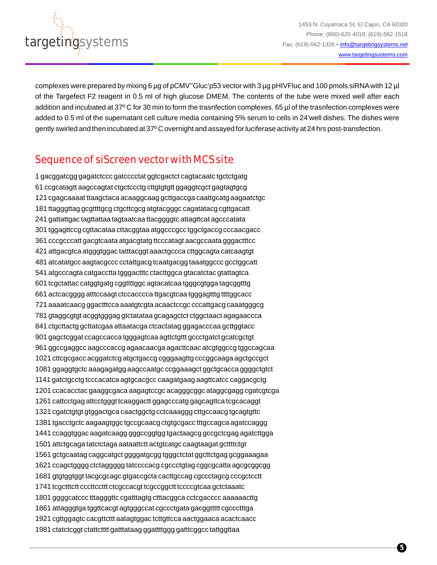

complexes were prepared by mixing 6 µg of pCMV''Gluc'p53 vector with 3 µg pHIVFluc and 100 pmols siRNAwith 12 µl of the Targefect F2 reagent in 0.5 ml of high glucose DMEM. The contents of the tube were mixed well after each addition and incubated at 37º C for 30 min to form the trasnfection complexes. 65 µl of the trasnfection complexes were added to 0.5 ml of the supernatant cell culture media containing 5% serum to cells in 24'well dishes. The dishes were gently swirled and then incubated at 37º C overnight and assayed for luciferase activity at 24 hrs post-transfection.

# Sequence of siScreen vector with MCS site

1 gacggatcgg gagatctccc gatcccctat ggtcgactct cagtacaatc tgctctgatg 61 ccgcatagtt aagccagtat ctgctccctg cttgtgtgtt ggaggtcgct gagtagtgcg 121 cgagcaaaat ttaagctaca acaaggcaag gcttgaccga caattgcatg aagaatctgc 181 ttagggttag gcgttttgcg ctgcttcgcg atgtacgggc cagatatacg cgttgacatt 241 gattattgac tagttattaa tagtaatcaa ttacggggtc attagttcat agcccatata 301 tggagttccg cgttacataa cttacggtaa atggcccgcc tggctgaccg cccaacgacc 361 cccgcccatt gacgtcaata atgacgtatg ttcccatagt aacgccaata gggactttcc 421 attgacgtca atgggtggac tatttacggt aaactgccca cttggcagta catcaagtgt 481 atcatatgcc aagtacgccc cctattgacg tcaatgacgg taaatggccc gcctggcatt 541 atgcccagta catgacctta tgggactttc ctacttggca gtacatctac gtattagtca 601 tcgctattac catggtgatg cggttttggc agtacatcaa tgggcgtgga tagcggtttg 661 actcacgggg atttccaagt ctccacccca ttgacgtcaa tgggagtttg ttttggcacc 721 aaaatcaacg ggactttcca aaatgtcgta acaactccgc cccattgacg caaatgggcg 781 gtaggcgtgt acggtgggag gtctatataa gcagagctct ctggctaact agagaaccca 841 ctgcttactg gcttatcgaa attaatacga ctcactatag ggagacccaa gcttggtacc 901 gagctcggat ccagccacca tgggagtcaa agttctgttt gccctgatct gcatcgctgt 961 ggccgaggcc aagcccaccg agaacaacga agacttcaac atcgtggccg tggccagcaa 1021 cttcgcgacc acggatctcg atgctgaccg cgggaagttg cccggcaaga agctgccgct 1081 ggaggtgctc aaagagatgg aagccaatgc ccggaaagct ggctgcacca ggggctgtct 1141 gatctgcctg tcccacatca agtgcacgcc caagatgaag aagttcatcc caggacgctg 1201 ccacacctac gaaggcgaca aagagtccgc acagggcggc ataggcgagg cgatcgtcga 1261 cattcctgag attcctgggt tcaaggactt ggagcccatg gagcagttca tcgcacaggt 1321 cgatctgtgt gtggactgca caactggctg cctcaaaggg cttgccaacg tgcagtgttc 1381 tgacctgctc aagaagtggc tgccgcaacg ctgtgcgacc tttgccagca agatccaggg 1441 ccaggtggac aagatcaagg gggccggtgg tgactaagcg gccgctcgag agatcttgga 1501 attctgcaga tatctctaga aataattctt actgtcatgc caagtaagat gcttttctgt 1561 gctgcaatag caggcatgct ggggatgcgg tgggctctat ggcttctgag gcggaaagaa 1621 ccagctgggg ctctaggggg tatccccacg cgccctgtag cggcgcatta agcgcggcgg 1681 gtgtggtggt tacgcgcagc gtgaccgcta cacttgccag cgccctagcg cccgctcctt 1741 tcgctttctt cccttccttt ctcgccacgt tcgccggctt tccccgtcaa gctctaaatc 1801 ggggcatccc tttagggttc cgatttagtg ctttacggca cctcgacccc aaaaaacttg 1861 attagggtga tggttcacgt agtgggccat cgccctgata gacggttttt cgccctttga 1921 cgttggagtc cacgttcttt aatagtggac tcttgttcca aactggaaca acactcaacc 1981 ctatctcggt ctattctttt gatttataag ggattttggg gatttcggcc tattggttaa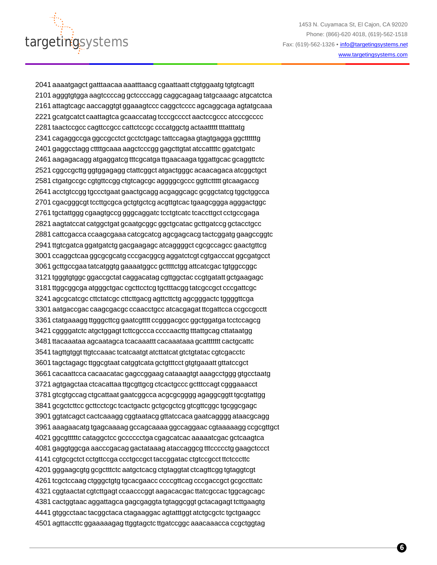

1453 N. Cuyamaca St, El Cajon, CA 92020 Phone: (866)-620 4018, (619)-562-1518 Fax: (619)-562-1326 • [info@targetingsystems.net](mailto:info@targetingsystems.net) [www.targetingsystems.com](http://targetingsystems.net/)

2041 aaaatgagct gatttaacaa aaatttaacg cgaattaatt ctgtggaatg tgtgtcagtt 2101 agggtgtgga aagtccccag gctccccagg caggcagaag tatgcaaagc atgcatctca 2161 attagtcagc aaccaggtgt ggaaagtccc caggctcccc agcaggcaga agtatgcaaa 2221 gcatgcatct caattagtca gcaaccatag tcccgcccct aactccgccc atcccgcccc 2281 taactccgcc cagttccgcc cattctccgc cccatggctg actaattttt tttatttatg 2341 cagaggccga ggccgcctct gcctctgagc tattccagaa gtagtgagga ggcttttttg 2401 gaggcctagg cttttgcaaa aagctcccgg gagcttgtat atccattttc ggatctgatc 2461 aagagacagg atgaggatcg tttcgcatga ttgaacaaga tggattgcac gcaggttctc 2521 cggccgcttg ggtggagagg ctattcggct atgactgggc acaacagaca atcggctgct 2581 ctgatgccgc cgtgttccgg ctgtcagcgc aggggcgccc ggttcttttt gtcaagaccg 2641 acctgtccgg tgccctgaat gaactgcagg acgaggcagc gcggctatcg tggctggcca 2701 cgacgggcgt tccttgcgca gctgtgctcg acgttgtcac tgaagcggga agggactggc 2761 tgctattggg cgaagtgccg gggcaggatc tcctgtcatc tcaccttgct cctgccgaga 2821 aagtatccat catggctgat gcaatgcggc ggctgcatac gcttgatccg gctacctgcc 2881 cattcgacca ccaagcgaaa catcgcatcg agcgagcacg tactcggatg gaagccggtc 2941 ttgtcgatca ggatgatctg gacgaagagc atcaggggct cgcgccagcc gaactgttcg 3001 ccaggctcaa ggcgcgcatg cccgacggcg aggatctcgt cgtgacccat ggcgatgcct 3061 gcttgccgaa tatcatggtg gaaaatggcc gcttttctgg attcatcgac tgtggccggc 3121 tgggtgtggc ggaccgctat caggacatag cgttggctac ccgtgatatt gctgaagagc 3181 ttggcggcga atgggctgac cgcttcctcg tgctttacgg tatcgccgct cccgattcgc 3241 agcgcatcgc cttctatcgc cttcttgacg agttcttctg agcgggactc tggggttcga 3301 aatgaccgac caagcgacgc ccaacctgcc atcacgagat ttcgattcca ccgccgcctt 3361 ctatgaaagg ttgggcttcg gaatcgtttt ccgggacgcc ggctggatga tcctccagcg 3421 cggggatctc atgctggagt tcttcgccca ccccaacttg tttattgcag cttataatgg 3481 ttacaaataa agcaatagca tcacaaattt cacaaataaa gcattttttt cactgcattc 3541 tagttgtggt ttgtccaaac tcatcaatgt atcttatcat gtctgtatac cgtcgacctc 3601 tagctagagc ttggcgtaat catggtcata gctgtttcct gtgtgaaatt gttatccgct 3661 cacaattcca cacaacatac gagccggaag cataaagtgt aaagcctggg gtgcctaatg 3721 agtgagctaa ctcacattaa ttgcgttgcg ctcactgccc gctttccagt cgggaaacct 3781 gtcgtgccag ctgcattaat gaatcggcca acgcgcgggg agaggcggtt tgcgtattgg 3841 gcgctcttcc gcttcctcgc tcactgactc gctgcgctcg gtcgttcggc tgcggcgagc 3901 ggtatcagct cactcaaagg cggtaatacg gttatccaca gaatcagggg ataacgcagg 3961 aaagaacatg tgagcaaaag gccagcaaaa ggccaggaac cgtaaaaagg ccgcgttgct 4021 ggcgtttttc cataggctcc gcccccctga cgagcatcac aaaaatcgac gctcaagtca 4081 gaggtggcga aacccgacag gactataaag ataccaggcg tttccccctg gaagctccct 4141 cgtgcgctct cctgttccga ccctgccgct taccggatac ctgtccgcct ttctcccttc 4201 gggaagcgtg gcgctttctc aatgctcacg ctgtaggtat ctcagttcgg tgtaggtcgt 4261 tcgctccaag ctgggctgtg tgcacgaacc ccccgttcag cccgaccgct gcgccttatc 4321 cggtaactat cgtcttgagt ccaacccggt aagacacgac ttatcgccac tggcagcagc 4381 cactggtaac aggattagca gagcgaggta tgtaggcggt gctacagagt tcttgaagtg 4441 gtggcctaac tacggctaca ctagaaggac agtatttggt atctgcgctc tgctgaagcc 4501 agttaccttc ggaaaaagag ttggtagctc ttgatccggc aaacaaacca ccgctggtag